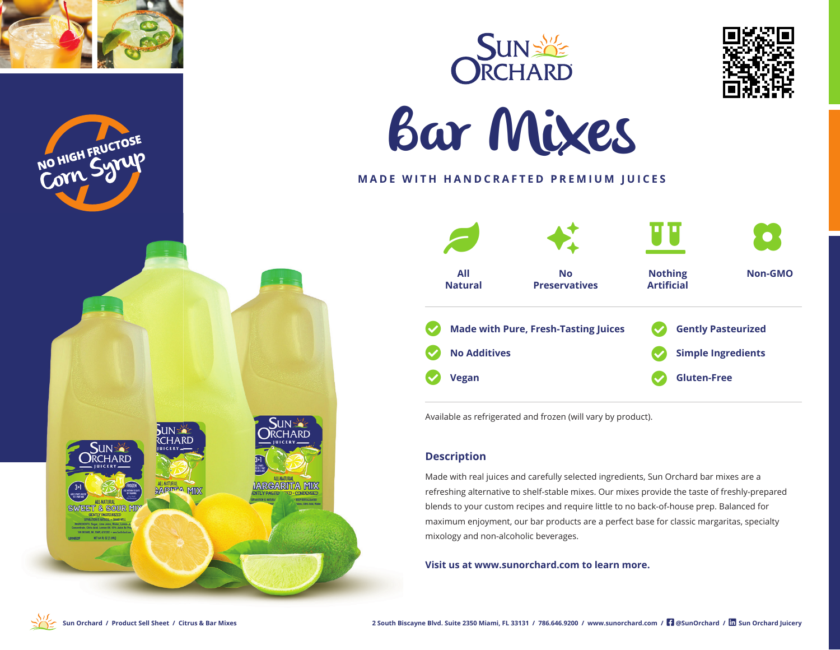









# **MADE WITH HANDCRAFTED PREMIUM JUICES**



Available as refrigerated and frozen (will vary by product).

### **Description**

Made with real juices and carefully selected ingredients, Sun Orchard bar mixes are a refreshing alternative to shelf-stable mixes. Our mixes provide the taste of freshly-prepared blends to your custom recipes and require little to no back-of-house prep. Balanced for maximum enjoyment, our bar products are a perfect base for classic margaritas, specialty mixology and non-alcoholic beverages.

**Visit us at www.sunorchard.com to learn more.**



**SUN SA** 

**UICERY** 

**SUN SO** 

**RCHARD** 

EET & SOUR MI

**ECHARD** 

ALL-NATURAL MIX

**SUN<sup>S</sup>** 

**ARGARITA MIX** 

**RCHARD**